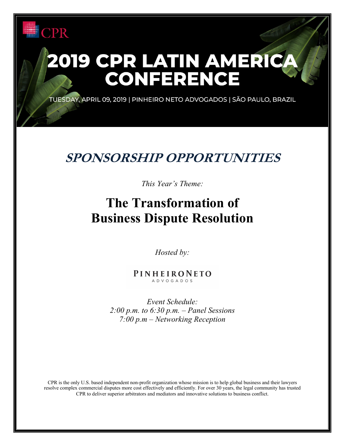## PR

# 2019 CPR LATIN AMERICA<br>CONFERENCE

TUESDAY, APRIL 09, 2019 | PINHEIRO NETO ADVOGADOS | SÃO PAULO, BRAZIL

## **SPONSORSHIP OPPORTUNITIES**

#### *This Year's Theme:*

## **The Transformation of Business Dispute Resolution**

*Hosted by:*

PINHEIRONETO ADVOGADOS

*Event Schedule: 2:00 p.m. to 6:30 p.m. – Panel Sessions 7:00 p.m – Networking Reception*

CPR is the only U.S. based independent non-profit organization whose mission is to help global business and their lawyers resolve complex commercial disputes more cost effectively and efficiently. For over 30 years, the legal community has trusted CPR to deliver superior arbitrators and mediators and innovative solutions to business conflict.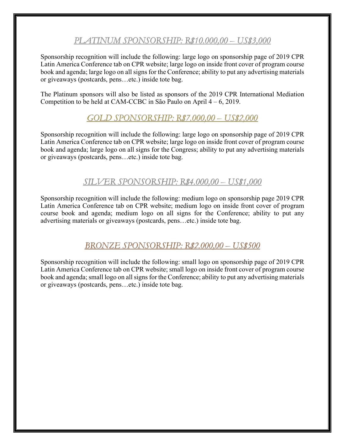#### PLATINUM SPONSORSHIP: R\$10.000.00 - US\$3.000

Sponsorship recognition will include the following: large logo on sponsorship page of 2019 CPR Latin America Conference tab on CPR website; large logo on inside front cover of program course book and agenda; large logo on all signs for the Conference; ability to put any advertising materials or giveaways (postcards, pens…etc.) inside tote bag.

The Platinum sponsors will also be listed as sponsors of the 2019 CPR International Mediation Competition to be held at CAM-CCBC in São Paulo on April 4 – 6, 2019.

#### $GOLD$  SPONSORSHIP: R\$7,000,00 - US\$2,000

Sponsorship recognition will include the following: large logo on sponsorship page of 2019 CPR Latin America Conference tab on CPR website; large logo on inside front cover of program course book and agenda; large logo on all signs for the Congress; ability to put any advertising materials or giveaways (postcards, pens…etc.) inside tote bag.

#### *SILVER SPONSORSHIP: R\$4.000,00 - US\$1,000*

Sponsorship recognition will include the following: medium logo on sponsorship page 2019 CPR Latin America Conference tab on CPR website; medium logo on inside front cover of program course book and agenda; medium logo on all signs for the Conference; ability to put any advertising materials or giveaways (postcards, pens…etc.) inside tote bag.

#### BRONZE SPONSORSHIP: R\$2,000,00 - US\$500

Sponsorship recognition will include the following: small logo on sponsorship page of 2019 CPR Latin America Conference tab on CPR website; small logo on inside front cover of program course book and agenda; small logo on all signs for the Conference; ability to put any advertising materials or giveaways (postcards, pens…etc.) inside tote bag.